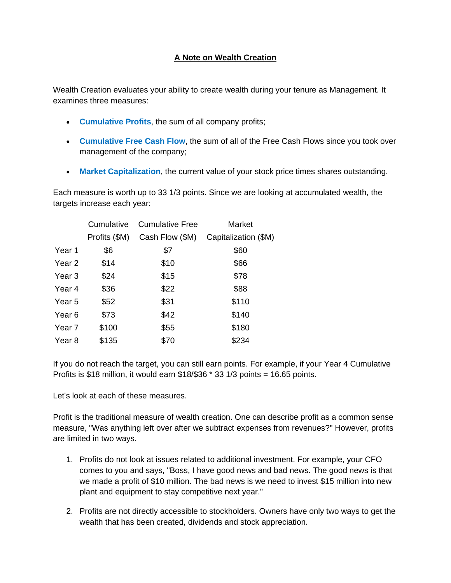## **A Note on Wealth Creation**

Wealth Creation evaluates your ability to create wealth during your tenure as Management. It examines three measures:

- **Cumulative Profits**, the sum of all company profits;
- **Cumulative Free Cash Flow**, the sum of all of the Free Cash Flows since you took over management of the company;
- **Market Capitalization**, the current value of your stock price times shares outstanding.

Each measure is worth up to 33 1/3 points. Since we are looking at accumulated wealth, the targets increase each year:

|        | Cumulative    | <b>Cumulative Free</b> | Market               |
|--------|---------------|------------------------|----------------------|
|        | Profits (\$M) | Cash Flow (\$M)        | Capitalization (\$M) |
| Year 1 | \$6           | \$7                    | \$60                 |
| Year 2 | \$14          | \$10                   | \$66                 |
| Year 3 | \$24          | \$15                   | \$78                 |
| Year 4 | \$36          | \$22                   | \$88                 |
| Year 5 | \$52          | \$31                   | \$110                |
| Year 6 | \$73          | \$42                   | \$140                |
| Year 7 | \$100         | \$55                   | \$180                |
| Year 8 | \$135         | \$70                   | \$234                |

If you do not reach the target, you can still earn points. For example, if your Year 4 Cumulative Profits is \$18 million, it would earn  $$18/$36 * 33 1/3$  points = 16.65 points.

Let's look at each of these measures.

Profit is the traditional measure of wealth creation. One can describe profit as a common sense measure, "Was anything left over after we subtract expenses from revenues?" However, profits are limited in two ways.

- 1. Profits do not look at issues related to additional investment. For example, your CFO comes to you and says, "Boss, I have good news and bad news. The good news is that we made a profit of \$10 million. The bad news is we need to invest \$15 million into new plant and equipment to stay competitive next year."
- 2. Profits are not directly accessible to stockholders. Owners have only two ways to get the wealth that has been created, dividends and stock appreciation.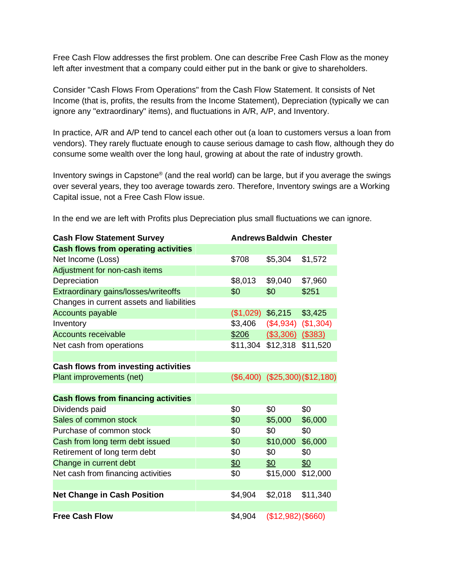Free Cash Flow addresses the first problem. One can describe Free Cash Flow as the money left after investment that a company could either put in the bank or give to shareholders.

Consider "Cash Flows From Operations" from the Cash Flow Statement. It consists of Net Income (that is, profits, the results from the Income Statement), Depreciation (typically we can ignore any "extraordinary" items), and fluctuations in A/R, A/P, and Inventory.

In practice, A/R and A/P tend to cancel each other out (a loan to customers versus a loan from vendors). They rarely fluctuate enough to cause serious damage to cash flow, although they do consume some wealth over the long haul, growing at about the rate of industry growth.

Inventory swings in Capstone® (and the real world) can be large, but if you average the swings over several years, they too average towards zero. Therefore, Inventory swings are a Working Capital issue, not a Free Cash Flow issue.

In the end we are left with Profits plus Depreciation plus small fluctuations we can ignore.

| <b>Cash Flow Statement Survey</b>           |           | <b>Andrews Baldwin Chester</b> |                                 |
|---------------------------------------------|-----------|--------------------------------|---------------------------------|
| <b>Cash flows from operating activities</b> |           |                                |                                 |
| Net Income (Loss)                           | \$708     | \$5,304                        | \$1,572                         |
| Adjustment for non-cash items               |           |                                |                                 |
| Depreciation                                | \$8,013   | \$9,040                        | \$7,960                         |
| Extraordinary gains/losses/writeoffs        | \$0       | \$0                            | \$251                           |
| Changes in current assets and liabilities   |           |                                |                                 |
| <b>Accounts payable</b>                     | (\$1,029) | \$6,215                        | \$3,425                         |
| Inventory                                   | \$3,406   | $($4,934)$ $($1,304)$          |                                 |
| <b>Accounts receivable</b>                  | \$206     | $($ \$3,306) $($ \$383)        |                                 |
| Net cash from operations                    | \$11,304  | \$12,318                       | \$11,520                        |
|                                             |           |                                |                                 |
| <b>Cash flows from investing activities</b> |           |                                |                                 |
| Plant improvements (net)                    |           |                                | $($6,400)$ $($25,300)($12,180)$ |
|                                             |           |                                |                                 |
| <b>Cash flows from financing activities</b> |           |                                |                                 |
| Dividends paid                              | \$0       | \$0                            | \$0                             |
| Sales of common stock                       | \$0       | \$5,000                        | \$6,000                         |
| Purchase of common stock                    | \$0       | \$0                            | \$0                             |
| Cash from long term debt issued             | \$0       | \$10,000                       | \$6,000                         |
| Retirement of long term debt                | \$0       | \$0                            | \$0                             |
| Change in current debt                      | \$0       | \$0                            | 60                              |
| Net cash from financing activities          | \$0       | \$15,000                       | \$12,000                        |
|                                             |           |                                |                                 |
| <b>Net Change in Cash Position</b>          | \$4,904   | \$2,018                        | \$11,340                        |
|                                             |           |                                |                                 |
| <b>Free Cash Flow</b>                       | \$4,904   | (\$12,982)(\$660)              |                                 |